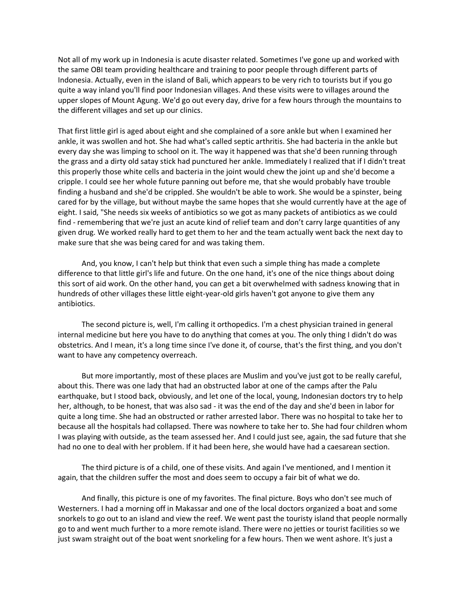Not all of my work up in Indonesia is acute disaster related. Sometimes I've gone up and worked with the same OBI team providing healthcare and training to poor people through different parts of Indonesia. Actually, even in the island of Bali, which appears to be very rich to tourists but if you go quite a way inland you'll find poor Indonesian villages. And these visits were to villages around the upper slopes of Mount Agung. We'd go out every day, drive for a few hours through the mountains to the different villages and set up our clinics.

That first little girl is aged about eight and she complained of a sore ankle but when I examined her ankle, it was swollen and hot. She had what's called septic arthritis. She had bacteria in the ankle but every day she was limping to school on it. The way it happened was that she'd been running through the grass and a dirty old satay stick had punctured her ankle. Immediately I realized that if I didn't treat this properly those white cells and bacteria in the joint would chew the joint up and she'd become a cripple. I could see her whole future panning out before me, that she would probably have trouble finding a husband and she'd be crippled. She wouldn't be able to work. She would be a spinster, being cared for by the village, but without maybe the same hopes that she would currently have at the age of eight. I said, "She needs six weeks of antibiotics so we got as many packets of antibiotics as we could find - remembering that we're just an acute kind of relief team and don't carry large quantities of any given drug. We worked really hard to get them to her and the team actually went back the next day to make sure that she was being cared for and was taking them.

And, you know, I can't help but think that even such a simple thing has made a complete difference to that little girl's life and future. On the one hand, it's one of the nice things about doing this sort of aid work. On the other hand, you can get a bit overwhelmed with sadness knowing that in hundreds of other villages these little eight-year-old girls haven't got anyone to give them any antibiotics.

The second picture is, well, I'm calling it orthopedics. I'm a chest physician trained in general internal medicine but here you have to do anything that comes at you. The only thing I didn't do was obstetrics. And I mean, it's a long time since I've done it, of course, that's the first thing, and you don't want to have any competency overreach.

But more importantly, most of these places are Muslim and you've just got to be really careful, about this. There was one lady that had an obstructed labor at one of the camps after the Palu earthquake, but I stood back, obviously, and let one of the local, young, Indonesian doctors try to help her, although, to be honest, that was also sad - it was the end of the day and she'd been in labor for quite a long time. She had an obstructed or rather arrested labor. There was no hospital to take her to because all the hospitals had collapsed. There was nowhere to take her to. She had four children whom I was playing with outside, as the team assessed her. And I could just see, again, the sad future that she had no one to deal with her problem. If it had been here, she would have had a caesarean section.

The third picture is of a child, one of these visits. And again I've mentioned, and I mention it again, that the children suffer the most and does seem to occupy a fair bit of what we do.

And finally, this picture is one of my favorites. The final picture. Boys who don't see much of Westerners. I had a morning off in Makassar and one of the local doctors organized a boat and some snorkels to go out to an island and view the reef. We went past the touristy island that people normally go to and went much further to a more remote island. There were no jetties or tourist facilities so we just swam straight out of the boat went snorkeling for a few hours. Then we went ashore. It's just a